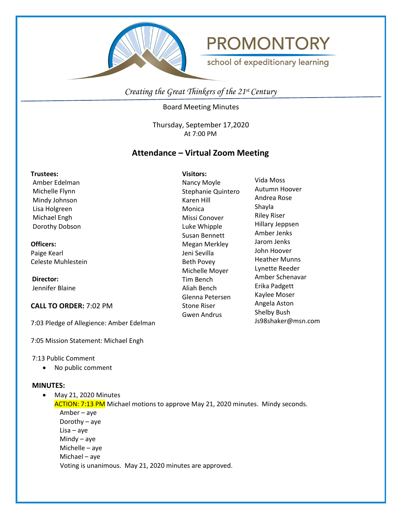



school of expeditionary learning

*Creating the Great Thinkers of the 21st Century*

Board Meeting Minutes

Thursday, September 17,2020 At 7:00 PM

# **Attendance – Virtual Zoom Meeting**

#### **Trustees:**

Amber Edelman Michelle Flynn Mindy Johnson Lisa Holgreen Michael Engh Dorothy Dobson

#### **Officers:**

Paige Kearl Celeste Muhlestein

 **Director:** Jennifer Blaine

**CALL TO ORDER:** 7:02 PM

7:03 Pledge of Allegience: Amber Edelman

7:05 Mission Statement: Michael Engh

7:13 Public Comment

• No public comment

# **MINUTES:**

• May 21, 2020 Minutes ACTION: 7:13 PM Michael motions to approve May 21, 2020 minutes. Mindy seconds. Amber – aye

 Dorothy – aye Lisa – aye Mindy – aye Michelle – aye Michael – aye Voting is unanimous. May 21, 2020 minutes are approved.

**Visitors:** Nancy Moyle Stephanie Quintero Karen Hill Monica Missi Conover Luke Whipple Susan Bennett Megan Merkley Jeni Sevilla Beth Povey Michelle Moyer Tim Bench Aliah Bench Glenna Petersen Stone Riser Gwen Andrus

Vida Moss Autumn Hoover Andrea Rose Shayla Riley Riser Hillary Jeppsen Amber Jenks Jarom Jenks John Hoover Heather Munns Lynette Reeder Amber Schenavar Erika Padgett Kaylee Moser Angela Aston Shelby Bush Js98shaker@msn.com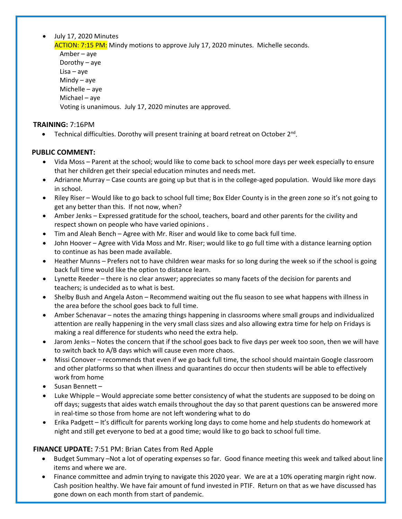# • July 17, 2020 Minutes

ACTION: 7:15 PM: Mindy motions to approve July 17, 2020 minutes. Michelle seconds.

Amber – aye Dorothy – aye Lisa – aye Mindy – aye Michelle – aye Michael – aye Voting is unanimous. July 17, 2020 minutes are approved.

### **TRAINING:** 7:16PM

• Technical difficulties. Dorothy will present training at board retreat on October  $2^{nd}$ .

### **PUBLIC COMMENT:**

- Vida Moss Parent at the school; would like to come back to school more days per week especially to ensure that her children get their special education minutes and needs met.
- Adrianne Murray Case counts are going up but that is in the college-aged population. Would like more days in school.
- Riley Riser Would like to go back to school full time; Box Elder County is in the green zone so it's not going to get any better than this. If not now, when?
- Amber Jenks Expressed gratitude for the school, teachers, board and other parents for the civility and respect shown on people who have varied opinions .
- Tim and Aleah Bench Agree with Mr. Riser and would like to come back full time.
- John Hoover Agree with Vida Moss and Mr. Riser; would like to go full time with a distance learning option to continue as has been made available.
- Heather Munns Prefers not to have children wear masks for so long during the week so if the school is going back full time would like the option to distance learn.
- Lynette Reeder there is no clear answer; appreciates so many facets of the decision for parents and teachers; is undecided as to what is best.
- Shelby Bush and Angela Aston Recommend waiting out the flu season to see what happens with illness in the area before the school goes back to full time.
- Amber Schenavar notes the amazing things happening in classrooms where small groups and individualized attention are really happening in the very small class sizes and also allowing extra time for help on Fridays is making a real difference for students who need the extra help.
- Jarom Jenks Notes the concern that if the school goes back to five days per week too soon, then we will have to switch back to A/B days which will cause even more chaos.
- Missi Conover recommends that even if we go back full time, the school should maintain Google classroom and other platforms so that when illness and quarantines do occur then students will be able to effectively work from home
- Susan Bennett –
- Luke Whipple Would appreciate some better consistency of what the students are supposed to be doing on off days; suggests that aides watch emails throughout the day so that parent questions can be answered more in real-time so those from home are not left wondering what to do
- Erika Padgett It's difficult for parents working long days to come home and help students do homework at night and still get everyone to bed at a good time; would like to go back to school full time.

# **FINANCE UPDATE:** 7:51 PM: Brian Cates from Red Apple

- Budget Summary –Not a lot of operating expenses so far. Good finance meeting this week and talked about line items and where we are.
- Finance committee and admin trying to navigate this 2020 year. We are at a 10% operating margin right now. Cash position healthy. We have fair amount of fund invested in PTIF. Return on that as we have discussed has gone down on each month from start of pandemic.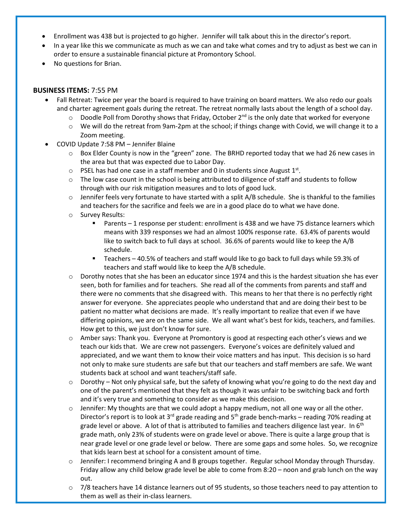- Enrollment was 438 but is projected to go higher. Jennifer will talk about this in the director's report.
- In a year like this we communicate as much as we can and take what comes and try to adjust as best we can in order to ensure a sustainable financial picture at Promontory School.
- No questions for Brian.

### **BUSINESS ITEMS:** 7:55 PM

- Fall Retreat: Twice per year the board is required to have training on board matters. We also redo our goals and charter agreement goals during the retreat. The retreat normally lasts about the length of a school day.
	- $\circ$  Doodle Poll from Dorothy shows that Friday, October 2<sup>nd</sup> is the only date that worked for everyone
	- o We will do the retreat from 9am-2pm at the school; if things change with Covid, we will change it to a Zoom meeting.
- COVID Update 7:58 PM Jennifer Blaine
	- $\circ$  Box Elder County is now in the "green" zone. The BRHD reported today that we had 26 new cases in the area but that was expected due to Labor Day.
	- $\circ$  PSEL has had one case in a staff member and 0 in students since August 1st.
	- $\circ$  The low case count in the school is being attributed to diligence of staff and students to follow through with our risk mitigation measures and to lots of good luck.
	- $\circ$  Jennifer feels very fortunate to have started with a split A/B schedule. She is thankful to the families and teachers for the sacrifice and feels we are in a good place do to what we have done.
	- o Survey Results:
		- Parents 1 response per student: enrollment is 438 and we have 75 distance learners which means with 339 responses we had an almost 100% response rate. 63.4% of parents would like to switch back to full days at school. 36.6% of parents would like to keep the A/B schedule.
		- Teachers 40.5% of teachers and staff would like to go back to full days while 59.3% of teachers and staff would like to keep the A/B schedule.
	- Dorothy notes that she has been an educator since 1974 and this is the hardest situation she has ever seen, both for families and for teachers. She read all of the comments from parents and staff and there were no comments that she disagreed with. This means to her that there is no perfectly right answer for everyone. She appreciates people who understand that and are doing their best to be patient no matter what decisions are made. It's really important to realize that even if we have differing opinions, we are on the same side. We all want what's best for kids, teachers, and families. How get to this, we just don't know for sure.
	- o Amber says: Thank you. Everyone at Promontory is good at respecting each other's views and we teach our kids that. We are crew not passengers. Everyone's voices are definitely valued and appreciated, and we want them to know their voice matters and has input. This decision is so hard not only to make sure students are safe but that our teachers and staff members are safe. We want students back at school and want teachers/staff safe.
	- Dorothy Not only physical safe, but the safety of knowing what you're going to do the next day and one of the parent's mentioned that they felt as though it was unfair to be switching back and forth and it's very true and something to consider as we make this decision.
	- o Jennifer: My thoughts are that we could adopt a happy medium, not all one way or all the other. Director's report is to look at 3<sup>rd</sup> grade reading and 5<sup>th</sup> grade bench-marks – reading 70% reading at grade level or above. A lot of that is attributed to families and teachers diligence last year. In  $6<sup>th</sup>$ grade math, only 23% of students were on grade level or above. There is quite a large group that is near grade level or one grade level or below. There are some gaps and some holes. So, we recognize that kids learn best at school for a consistent amount of time.
	- o Jennifer: I recommend bringing A and B groups together. Regular school Monday through Thursday. Friday allow any child below grade level be able to come from 8:20 – noon and grab lunch on the way out.
	- $\circ$  7/8 teachers have 14 distance learners out of 95 students, so those teachers need to pay attention to them as well as their in-class learners.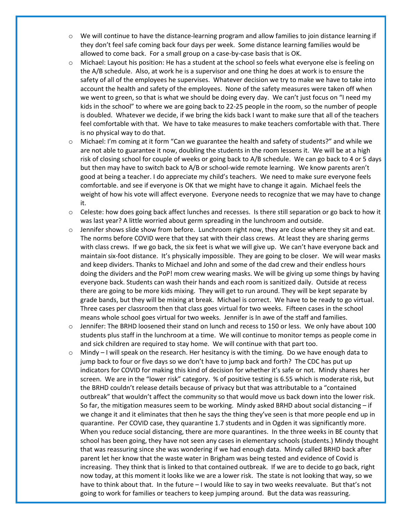- o We will continue to have the distance-learning program and allow families to join distance learning if they don't feel safe coming back four days per week. Some distance learning families would be allowed to come back. For a small group on a case-by-case basis that is OK.
- o Michael: Layout his position: He has a student at the school so feels what everyone else is feeling on the A/B schedule. Also, at work he is a supervisor and one thing he does at work is to ensure the safety of all of the employees he supervises. Whatever decision we try to make we have to take into account the health and safety of the employees. None of the safety measures were taken off when we went to green, so that is what we should be doing every day. We can't just focus on "I need my kids in the school" to where we are going back to 22-25 people in the room, so the number of people is doubled. Whatever we decide, if we bring the kids back I want to make sure that all of the teachers feel comfortable with that. We have to take measures to make teachers comfortable with that. There is no physical way to do that.
- $\circ$  Michael: I'm coming at it form "Can we guarantee the health and safety of students?" and while we are not able to guarantee it now, doubling the students in the room lessens it. We will be at a high risk of closing school for couple of weeks or going back to A/B schedule. We can go back to 4 or 5 days but then may have to switch back to A/B or school-wide remote learning. We know parents aren't good at being a teacher. I do appreciate my child's teachers. We need to make sure everyone feels comfortable. and see if everyone is OK that we might have to change it again. Michael feels the weight of how his vote will affect everyone. Everyone needs to recognize that we may have to change it.
- o Celeste: how does going back affect lunches and recesses. Is there still separation or go back to how it was last year? A little worried about germ spreading in the lunchroom and outside.
- Jennifer shows slide show from before. Lunchroom right now, they are close where they sit and eat. The norms before COVID were that they sat with their class crews. At least they are sharing germs with class crews. If we go back, the six feet is what we will give up. We can't have everyone back and maintain six-foot distance. It's physically impossible. They are going to be closer. We will wear masks and keep dividers. Thanks to Michael and John and some of the dad crew and their endless hours doing the dividers and the PoP! mom crew wearing masks. We will be giving up some things by having everyone back. Students can wash their hands and each room is sanitized daily. Outside at recess there are going to be more kids mixing. They will get to run around. They will be kept separate by grade bands, but they will be mixing at break. Michael is correct. We have to be ready to go virtual. Three cases per classroom then that class goes virtual for two weeks. Fifteen cases in the school means whole school goes virtual for two weeks. Jennifer is In awe of the staff and families.
- Jennifer: The BRHD loosened their stand on lunch and recess to 150 or less. We only have about 100 students plus staff in the lunchroom at a time. We will continue to monitor temps as people come in and sick children are required to stay home. We will continue with that part too.
- $\circ$  Mindy I will speak on the research. Her hesitancy is with the timing. Do we have enough data to jump back to four or five days so we don't have to jump back and forth? The CDC has put up indicators for COVID for making this kind of decision for whether it's safe or not. Mindy shares her screen. We are in the "lower risk" category. % of positive testing is 6.55 which is moderate risk, but the BRHD couldn't release details because of privacy but that was attributable to a "contained outbreak" that wouldn't affect the community so that would move us back down into the lower risk. So far, the mitigation measures seem to be working. Mindy asked BRHD about social distancing – if we change it and it eliminates that then he says the thing they've seen is that more people end up in quarantine. Per COVID case, they quarantine 1.7 students and in Ogden it was significantly more. When you reduce social distancing, there are more quarantines. In the three weeks in BE county that school has been going, they have not seen any cases in elementary schools (students.) Mindy thought that was reassuring since she was wondering if we had enough data. Mindy called BRHD back after parent let her know that the waste water in Brigham was being tested and evidence of Covid is increasing. They think that is linked to that contained outbreak. If we are to decide to go back, right now today, at this moment it looks like we are a lower risk. The state is not looking that way, so we have to think about that. In the future – I would like to say in two weeks reevaluate. But that's not going to work for families or teachers to keep jumping around. But the data was reassuring.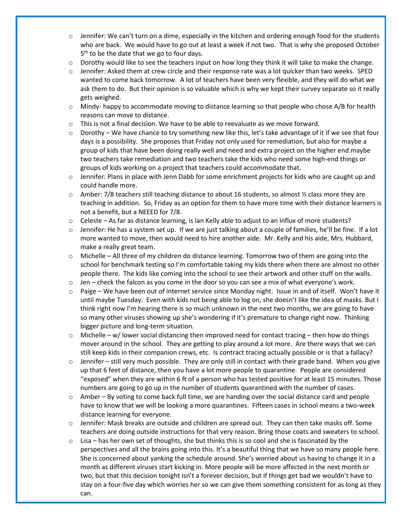- $\circ$  Jennifer: We can't turn on a dime, especially in the kitchen and ordering enough food for the students who are back. We would have to go out at least a week if not two. That is why she proposed October  $5<sup>th</sup>$  to be the date that we go to four days.
- $\circ$  Dorothy would like to see the teachers input on how long they think it will take to make the change.
- $\circ$  Jennifer: Asked them at crew circle and their response rate was a lot quicker than two weeks. SPED wanted to come back tomorrow. A lot of teachers have been very flexible, and they will do what we ask them to do. But their opinion is so valuable which is why we kept their survey separate so it really gets weighed.
- $\circ$  Mindy- happy to accommodate moving to distance learning so that people who chose A/B for health reasons can move to distance.
- o This is not a final decision. We have to be able to reevaluate as we move forward.
- $\circ$  Dorothy We have chance to try something new like this, let's take advantage of it if we see that four days is a possibility. She proposes that Friday not only used for remediation, but also for maybe a group of kids that have been doing really well and need and extra project on the higher end maybe two teachers take remediation and two teachers take the kids who need some high-end things or groups of kids working on a project that teachers could accommodate that.
- $\circ$  Jennifer: Plans in place with Jenn Dabb for some enrichment projects for kids who are caught up and could handle more.
- $\circ$  Amber: 7/8 teachers still teaching distance to about 16 students, so almost  $\frac{1}{2}$  class more they are teaching in addition. So, Friday as an option for them to have more time with their distance learners is not a benefit, but a NEEED for 7/8.
- $\circ$  Celeste As far as distance learning, is Ian Kelly able to adjust to an influx of more students?
- $\circ$  Jennifer: He has a system set up. If we are just talking about a couple of families, he'll be fine. If a lot more wanted to move, then would need to hire another aide. Mr. Kelly and his aide, Mrs. Hubbard, make a really great team.
- $\circ$  Michelle All three of my children do distance learning. Tomorrow two of them are going into the school for benchmark testing so I'm comfortable taking my kids there when there are almost no other people there. The kids like coming into the school to see their artwork and other stuff on the walls.
- $\circ$  Jen check the falcon as you come in the door so you can see a mix of what everyone's work.
- o Paige We have been out of internet service since Monday night. Issue in and of itself. Won't have it until maybe Tuesday. Even with kids not being able to log on, she doesn't like the idea of masks. But I think right now I'm hearing there is so much unknown in the next two months, we are going to have so many other viruses showing up she's wondering if it's premature to change right now. Thinking bigger picture and long-term situation.
- $\circ$  Michelle w/ lower social distancing then improved need for contact tracing then how do things mover around in the school. They are getting to play around a lot more. Are there ways that we can still keep kids in their companion crews, etc. Is contract tracing actually possible or is that a fallacy?
- $\circ$  Jennifer still very much possible. They are only still in contact with their grade band. When you give up that 6 feet of distance, then you have a lot more people to quarantine. People are considered "exposed" when they are within 6 ft of a person who has tested positive for at least 15 minutes. Those numbers are going to go up in the number of students quarantined with the number of cases.
- $\circ$  Amber By voting to come back full time, we are handing over the social distance card and people have to know that we will be looking a more quarantines. Fifteen cases in school means a two-week distance learning for everyone.
- $\circ$  Jennifer: Mask breaks are outside and children are spread out. They can then take masks off. Some teachers are doing outside instructions for that very reason. Bring those coats and sweaters to school.
- $\circ$  Lisa has her own set of thoughts, she but thinks this is so cool and she is fascinated by the perspectives and all the brains going into this. It's a beautiful thing that we have so many people here. She is concerned about yanking the schedule around. She's worried about us having to change it in a month as different viruses start kicking in. More people will be more affected in the next month or two, but that this decision tonight isn't a forever decision, but if things get bad we wouldn't have to stay on a four-five day which worries her so we can give them something consistent for as long as they can.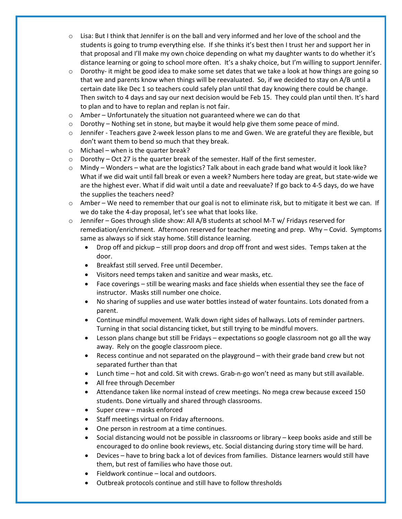- $\circ$  Lisa: But I think that Jennifer is on the ball and very informed and her love of the school and the students is going to trump everything else. If she thinks it's best then I trust her and support her in that proposal and I'll make my own choice depending on what my daughter wants to do whether it's distance learning or going to school more often. It's a shaky choice, but I'm willing to support Jennifer.
- $\circ$  Dorothy- it might be good idea to make some set dates that we take a look at how things are going so that we and parents know when things will be reevaluated. So, if we decided to stay on A/B until a certain date like Dec 1 so teachers could safely plan until that day knowing there could be change. Then switch to 4 days and say our next decision would be Feb 15. They could plan until then. It's hard to plan and to have to replan and replan is not fair.
- o Amber Unfortunately the situation not guaranteed where we can do that
- $\circ$  Dorothy Nothing set in stone, but maybe it would help give them some peace of mind.
- o Jennifer Teachers gave 2-week lesson plans to me and Gwen. We are grateful they are flexible, but don't want them to bend so much that they break.
- o Michael when is the quarter break?
- $\circ$  Dorothy Oct 27 is the quarter break of the semester. Half of the first semester.
- $\circ$  Mindy Wonders what are the logistics? Talk about in each grade band what would it look like? What if we did wait until fall break or even a week? Numbers here today are great, but state-wide we are the highest ever. What if did wait until a date and reevaluate? If go back to 4-5 days, do we have the supplies the teachers need?
- $\circ$  Amber We need to remember that our goal is not to eliminate risk, but to mitigate it best we can. If we do take the 4-day proposal, let's see what that looks like.
- o Jennifer Goes through slide show: All A/B students at school M-T w/ Fridays reserved for remediation/enrichment. Afternoon reserved for teacher meeting and prep. Why – Covid. Symptoms same as always so if sick stay home. Still distance learning.
	- Drop off and pickup still prop doors and drop off front and west sides. Temps taken at the door.
	- Breakfast still served. Free until December.
	- Visitors need temps taken and sanitize and wear masks, etc.
	- Face coverings still be wearing masks and face shields when essential they see the face of instructor. Masks still number one choice.
	- No sharing of supplies and use water bottles instead of water fountains. Lots donated from a parent.
	- Continue mindful movement. Walk down right sides of hallways. Lots of reminder partners. Turning in that social distancing ticket, but still trying to be mindful movers.
	- Lesson plans change but still be Fridays expectations so google classroom not go all the way away. Rely on the google classroom piece.
	- Recess continue and not separated on the playground with their grade band crew but not separated further than that
	- Lunch time hot and cold. Sit with crews. Grab-n-go won't need as many but still available.
	- All free through December
	- Attendance taken like normal instead of crew meetings. No mega crew because exceed 150 students. Done virtually and shared through classrooms.
	- Super crew masks enforced
	- Staff meetings virtual on Friday afternoons.
	- One person in restroom at a time continues.
	- Social distancing would not be possible in classrooms or library keep books aside and still be encouraged to do online book reviews, etc. Social distancing during story time will be hard.
	- Devices have to bring back a lot of devices from families. Distance learners would still have them, but rest of families who have those out.
	- Fieldwork continue local and outdoors.
	- Outbreak protocols continue and still have to follow thresholds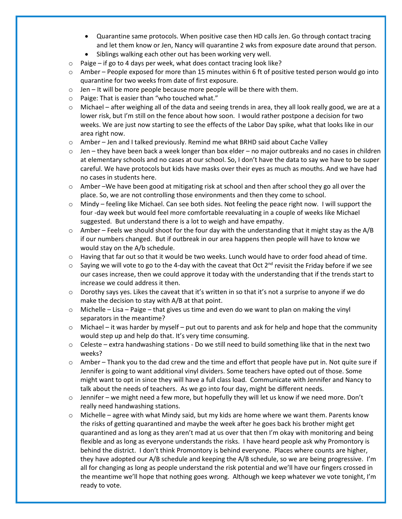- Quarantine same protocols. When positive case then HD calls Jen. Go through contact tracing and let them know or Jen, Nancy will quarantine 2 wks from exposure date around that person.
- Siblings walking each other out has been working very well.
- o Paige if go to 4 days per week, what does contact tracing look like?
- $\circ$  Amber People exposed for more than 15 minutes within 6 ft of positive tested person would go into quarantine for two weeks from date of first exposure.
- $\circ$  Jen It will be more people because more people will be there with them.
- o Paige: That is easier than "who touched what."
- o Michael after weighing all of the data and seeing trends in area, they all look really good, we are at a lower risk, but I'm still on the fence about how soon. I would rather postpone a decision for two weeks. We are just now starting to see the effects of the Labor Day spike, what that looks like in our area right now.
- o Amber Jen and I talked previously. Remind me what BRHD said about Cache Valley
- $\circ$  Jen they have been back a week longer than box elder no major outbreaks and no cases in children at elementary schools and no cases at our school. So, I don't have the data to say we have to be super careful. We have protocols but kids have masks over their eyes as much as mouths. And we have had no cases in students here.
- o Amber –We have been good at mitigating risk at school and then after school they go all over the place. So, we are not controlling those environments and then they come to school.
- $\circ$  Mindy feeling like Michael. Can see both sides. Not feeling the peace right now. I will support the four -day week but would feel more comfortable reevaluating in a couple of weeks like Michael suggested. But understand there is a lot to weigh and have empathy.
- $\circ$  Amber Feels we should shoot for the four day with the understanding that it might stay as the A/B if our numbers changed. But if outbreak in our area happens then people will have to know we would stay on the A/b schedule.
- $\circ$  Having that far out so that it would be two weeks. Lunch would have to order food ahead of time.
- $\circ$  Saying we will vote to go to the 4-day with the caveat that Oct 2<sup>nd</sup> revisit the Friday before if we see our cases increase, then we could approve it today with the understanding that if the trends start to increase we could address it then.
- $\circ$  Dorothy says yes. Likes the caveat that it's written in so that it's not a surprise to anyone if we do make the decision to stay with A/B at that point.
- $\circ$  Michelle Lisa Paige that gives us time and even do we want to plan on making the vinyl separators in the meantime?
- $\circ$  Michael it was harder by myself put out to parents and ask for help and hope that the community would step up and help do that. It's very time consuming.
- $\circ$  Celeste extra handwashing stations Do we still need to build something like that in the next two weeks?
- $\circ$  Amber Thank you to the dad crew and the time and effort that people have put in. Not quite sure if Jennifer is going to want additional vinyl dividers. Some teachers have opted out of those. Some might want to opt in since they will have a full class load. Communicate with Jennifer and Nancy to talk about the needs of teachers. As we go into four day, might be different needs.
- $\circ$  Jennifer we might need a few more, but hopefully they will let us know if we need more. Don't really need handwashing stations.
- $\circ$  Michelle agree with what Mindy said, but my kids are home where we want them. Parents know the risks of getting quarantined and maybe the week after he goes back his brother might get quarantined and as long as they aren't mad at us over that then I'm okay with monitoring and being flexible and as long as everyone understands the risks. I have heard people ask why Promontory is behind the district. I don't think Promontory is behind everyone. Places where counts are higher, they have adopted our A/B schedule and keeping the A/B schedule, so we are being progressive. I'm all for changing as long as people understand the risk potential and we'll have our fingers crossed in the meantime we'll hope that nothing goes wrong. Although we keep whatever we vote tonight, I'm ready to vote.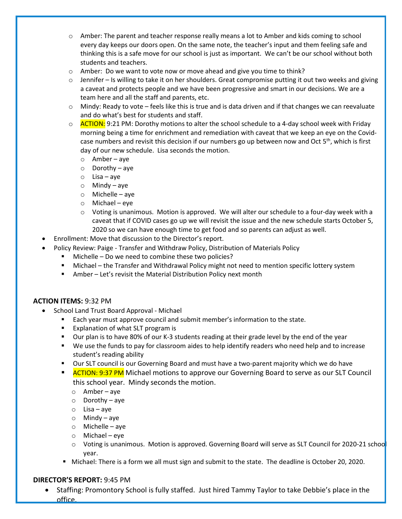- o Amber: The parent and teacher response really means a lot to Amber and kids coming to school every day keeps our doors open. On the same note, the teacher's input and them feeling safe and thinking this is a safe move for our school is just as important. We can't be our school without both students and teachers.
- $\circ$  Amber: Do we want to vote now or move ahead and give you time to think?
- $\circ$  Jennifer Is willing to take it on her shoulders. Great compromise putting it out two weeks and giving a caveat and protects people and we have been progressive and smart in our decisions. We are a team here and all the staff and parents, etc.
- $\circ$  Mindy: Ready to vote feels like this is true and is data driven and if that changes we can reevaluate and do what's best for students and staff.
- $\circ$  ACTION: 9:21 PM: Dorothy motions to alter the school schedule to a 4-day school week with Friday morning being a time for enrichment and remediation with caveat that we keep an eye on the Covidcase numbers and revisit this decision if our numbers go up between now and Oct  $5<sup>th</sup>$ , which is first day of our new schedule. Lisa seconds the motion.
	- o Amber aye
	- o Dorothy aye
	- $\circ$  Lisa aye
	- $\circ$  Mindy aye
	- o Michelle aye
	- o Michael eye
	- $\circ$  Voting is unanimous. Motion is approved. We will alter our schedule to a four-day week with a caveat that if COVID cases go up we will revisit the issue and the new schedule starts October 5, 2020 so we can have enough time to get food and so parents can adjust as well.
- Enrollment: Move that discussion to the Director's report.
	- Policy Review: Paige Transfer and Withdraw Policy, Distribution of Materials Policy
		- **Michelle Do we need to combine these two policies?**
		- Michael the Transfer and Withdrawal Policy might not need to mention specific lottery system
		- Amber Let's revisit the Material Distribution Policy next month

#### **ACTION ITEMS:** 9:32 PM

- School Land Trust Board Approval Michael
	- Each year must approve council and submit member's information to the state.
	- Explanation of what SLT program is
	- **Dur plan is to have 80% of our K-3 students reading at their grade level by the end of the year**
	- We use the funds to pay for classroom aides to help identify readers who need help and to increase student's reading ability
	- Our SLT council is our Governing Board and must have a two-parent majority which we do have
	- ACTION: 9:37 PM Michael motions to approve our Governing Board to serve as our SLT Council this school year. Mindy seconds the motion.
		- o Amber aye
		- o Dorothy aye
		- o Lisa aye
		- o Mindy aye
		- $\circ$  Michelle aye
		- o Michael eye
		- $\circ$  Voting is unanimous. Motion is approved. Governing Board will serve as SLT Council for 2020-21 school year.
	- **Michael: There is a form we all must sign and submit to the state. The deadline is October 20, 2020.**

#### **DIRECTOR'S REPORT:** 9:45 PM

• Staffing: Promontory School is fully staffed. Just hired Tammy Taylor to take Debbie's place in the office.